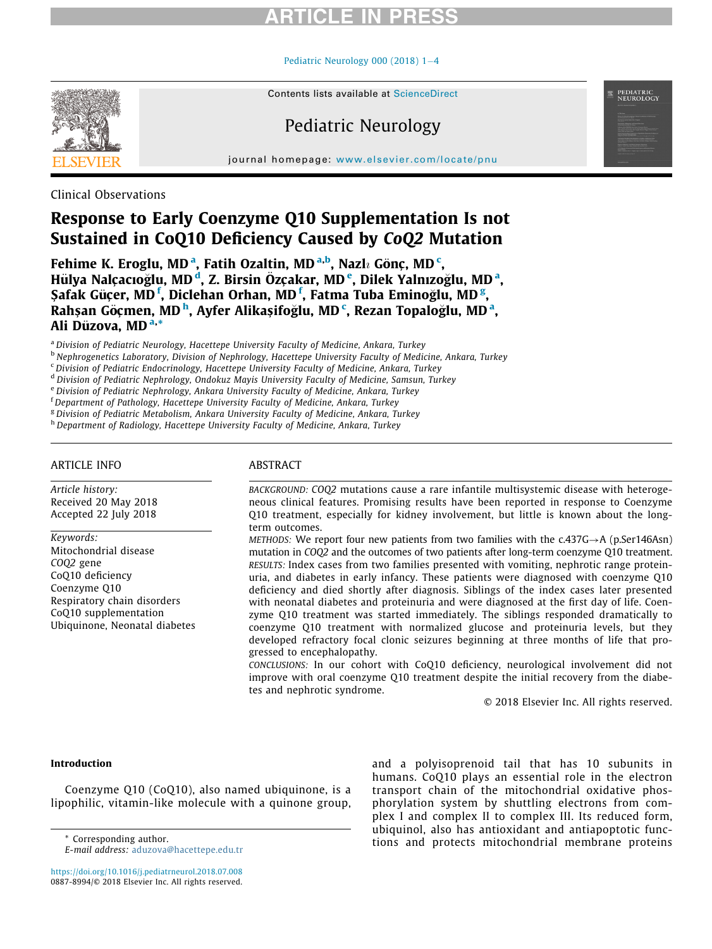# ARTICLE IN PRESS

#### Pediatric Neurology 000 (2018)  $1-4$  $1-4$



Contents lists available at ScienceDirect

# Pediatric Neurology

journal homepage: [www.elsevier.com/locate/pnu](http://www.elsevier.com/locate/pnu)

Clinical Observations

# Response to Early Coenzyme Q10 Supplementation Is not Sustained in CoQ10 Deficiency Caused by CoQ2 Mutation

Fehime K. Eroglu, MD<sup>[a](#page-0-0)</sup>, Fatih Ozaltin, MD<sup>[a,](#page-0-0)[b](#page-0-1)</sup>, Nazl $\imath$  Gönç, MD<sup>[c](#page-0-2)</sup>, Hülya Nalçacıoğlu, MD<sup>'[d](#page-0-3)</sup>, Z. Birsin Özçakar, MD'<sup>[e](#page-0-4)</sup>, Dilek Y[a](#page-0-0)lnızoğlu, MD<sup>'a</sup>, Şa[f](#page-0-5)ak Güçer, MD $^{\rm f}$ , Diclehan Orhan, MD $^{\rm f}$ , Fatma Tuba Eminoğlu, MD $^{\rm g}$  $^{\rm g}$  $^{\rm g}$ , Ra[h](#page-0-7)şan Göçmen, MD<sup>h</sup>, Ayfer Alikaşifoğlu, MD<sup>[c](#page-0-2)</sup>, Rez[a](#page-0-0)n Topaloğlu, MD<sup>a</sup>, Ali Düzov[a,](#page-0-0) MD<sup>a,</sup>\*

<span id="page-0-0"></span><sup>a</sup> Division of Pediatric Neurology, Hacettepe University Faculty of Medicine, Ankara, Turkey

<span id="page-0-1"></span><sup>b</sup> Nephrogenetics Laboratory, Division of Nephrology, Hacettepe University Faculty of Medicine, Ankara, Turkey

<span id="page-0-2"></span><sup>c</sup> Division of Pediatric Endocrinology, Hacettepe University Faculty of Medicine, Ankara, Turkey

<span id="page-0-3"></span><sup>d</sup> Division of Pediatric Nephrology, Ondokuz Mayis University Faculty of Medicine, Samsun, Turkey

<span id="page-0-5"></span><span id="page-0-4"></span><sup>e</sup> Division of Pediatric Nephrology, Ankara University Faculty of Medicine, Ankara, Turkey

<sup>f</sup> Department of Pathology, Hacettepe University Faculty of Medicine, Ankara, Turkey

<span id="page-0-6"></span><sup>g</sup> Division of Pediatric Metabolism, Ankara University Faculty of Medicine, Ankara, Turkey

<span id="page-0-7"></span>h Department of Radiology, Hacettepe University Faculty of Medicine, Ankara, Turkey

#### ARTICLE INFO

Article history: Received 20 May 2018 Accepted 22 July 2018

Keywords:

Mitochondrial disease COQ2 gene CoQ10 deficiency Coenzyme Q10 Respiratory chain disorders CoQ10 supplementation Ubiquinone, Neonatal diabetes

### ABSTRACT

BACKGROUND: COQ2 mutations cause a rare infantile multisystemic disease with heterogeneous clinical features. Promising results have been reported in response to Coenzyme Q10 treatment, especially for kidney involvement, but little is known about the longterm outcomes.

METHODS: We report four new patients from two families with the  $c.437G \rightarrow A$  (p.Ser146Asn) mutation in COQ2 and the outcomes of two patients after long-term coenzyme Q10 treatment. RESULTS: Index cases from two families presented with vomiting, nephrotic range proteinuria, and diabetes in early infancy. These patients were diagnosed with coenzyme Q10 deficiency and died shortly after diagnosis. Siblings of the index cases later presented with neonatal diabetes and proteinuria and were diagnosed at the first day of life. Coenzyme Q10 treatment was started immediately. The siblings responded dramatically to coenzyme Q10 treatment with normalized glucose and proteinuria levels, but they developed refractory focal clonic seizures beginning at three months of life that progressed to encephalopathy.

CONCLUSIONS: In our cohort with CoQ10 deficiency, neurological involvement did not improve with oral coenzyme Q10 treatment despite the initial recovery from the diabetes and nephrotic syndrome.

© 2018 Elsevier Inc. All rights reserved.

PEDIATRIC<br>NEUROLOGY

#### Introduction

Coenzyme Q10 (CoQ10), also named ubiquinone, is a lipophilic, vitamin-like molecule with a quinone group,

<https://doi.org/10.1016/j.pediatrneurol.2018.07.008> 0887-8994/© 2018 Elsevier Inc. All rights reserved.

and a polyisoprenoid tail that has 10 subunits in humans. CoQ10 plays an essential role in the electron transport chain of the mitochondrial oxidative phosphorylation system by shuttling electrons from complex I and complex II to complex III. Its reduced form, ubiquinol, also has antioxidant and antiapoptotic functions and protects mitochondrial membrane proteins \* Corresponding author.

E-mail address: [aduzova@hacettepe.edu.tr](mailto:aduzova@hacettepe.edu.tr)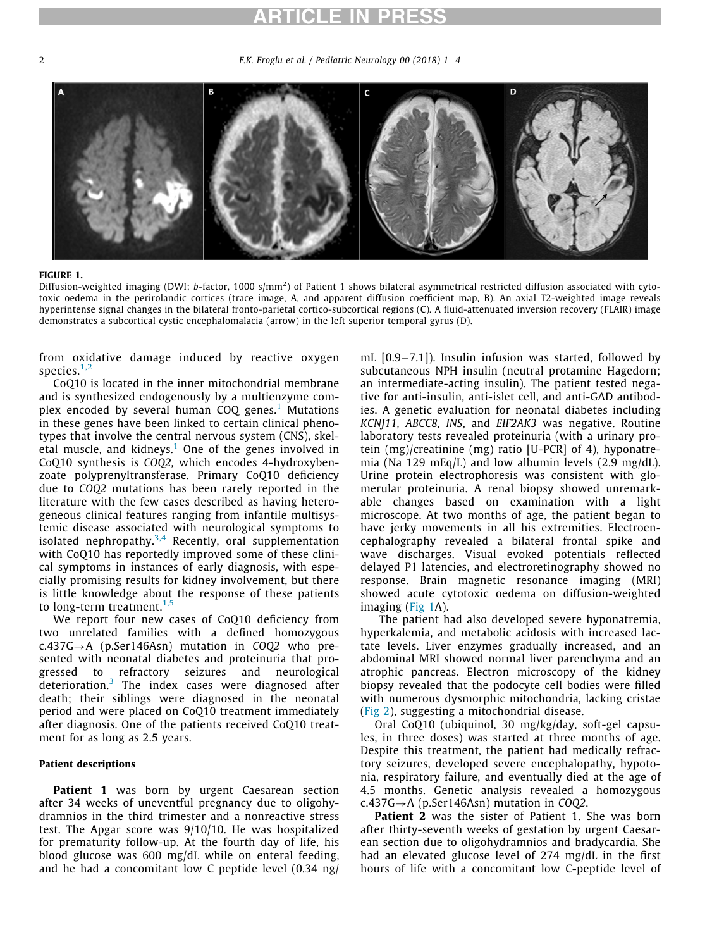# ARTICLE IN PRESS

<span id="page-1-0"></span>2 **F.K. Eroglu et al.** / Pediatric Neurology 00 (2018)  $1-4$ 



#### FIGURE 1.

Diffusion-weighted imaging (DWI; b-factor, 1000 s/mm<sup>2</sup>) of Patient 1 shows bilateral asymmetrical restricted diffusion associated with cytotoxic oedema in the perirolandic cortices (trace image, A, and apparent diffusion coefficient map, B). An axial T2-weighted image reveals hyperintense signal changes in the bilateral fronto-parietal cortico-subcortical regions (C). A fluid-attenuated inversion recovery (FLAIR) image demonstrates a subcortical cystic encephalomalacia (arrow) in the left superior temporal gyrus (D).

from oxidative damage induced by reactive oxygen species. $1,2$ 

CoQ10 is located in the inner mitochondrial membrane and is synthesized endogenously by a multienzyme complex encoded by several human  $COQ$  genes.<sup>[1](#page-3-0)</sup> Mutations in these genes have been linked to certain clinical phenotypes that involve the central nervous system (CNS), skel-etal muscle, and kidneys.<sup>[1](#page-3-0)</sup> One of the genes involved in CoQ10 synthesis is COQ2, which encodes 4-hydroxybenzoate polyprenyltransferase. Primary CoQ10 deficiency due to COQ2 mutations has been rarely reported in the literature with the few cases described as having heterogeneous clinical features ranging from infantile multisystemic disease associated with neurological symptoms to isolated nephropathy.<sup>[3,4](#page-3-1)</sup> Recently, oral supplementation with CoQ10 has reportedly improved some of these clinical symptoms in instances of early diagnosis, with especially promising results for kidney involvement, but there is little knowledge about the response of these patients to long-term treatment. $1,5$ 

We report four new cases of CoQ10 deficiency from two unrelated families with a defined homozygous  $c.437G \rightarrow A$  (p.Ser146Asn) mutation in COQ2 who presented with neonatal diabetes and proteinuria that progressed to refractory seizures and neurological deterioration.[3](#page-3-1) The index cases were diagnosed after death; their siblings were diagnosed in the neonatal period and were placed on CoQ10 treatment immediately after diagnosis. One of the patients received CoQ10 treatment for as long as 2.5 years.

#### Patient descriptions

**Patient 1** was born by urgent Caesarean section after 34 weeks of uneventful pregnancy due to oligohydramnios in the third trimester and a nonreactive stress test. The Apgar score was 9/10/10. He was hospitalized for prematurity follow-up. At the fourth day of life, his blood glucose was 600 mg/dL while on enteral feeding, and he had a concomitant low C peptide level (0.34 ng/ mL  $[0.9 - 7.1]$ ). Insulin infusion was started, followed by subcutaneous NPH insulin (neutral protamine Hagedorn; an intermediate-acting insulin). The patient tested negative for anti-insulin, anti-islet cell, and anti-GAD antibodies. A genetic evaluation for neonatal diabetes including KCNJ11, ABCC8, INS, and EIF2AK3 was negative. Routine laboratory tests revealed proteinuria (with a urinary protein (mg)/creatinine (mg) ratio [U-PCR] of 4), hyponatremia (Na 129 mEq/L) and low albumin levels (2.9 mg/dL). Urine protein electrophoresis was consistent with glomerular proteinuria. A renal biopsy showed unremarkable changes based on examination with a light microscope. At two months of age, the patient began to have jerky movements in all his extremities. Electroencephalography revealed a bilateral frontal spike and wave discharges. Visual evoked potentials reflected delayed P1 latencies, and electroretinography showed no response. Brain magnetic resonance imaging (MRI) showed acute cytotoxic oedema on diffusion-weighted imaging ([Fig 1A](#page-1-0)).

The patient had also developed severe hyponatremia, hyperkalemia, and metabolic acidosis with increased lactate levels. Liver enzymes gradually increased, and an abdominal MRI showed normal liver parenchyma and an atrophic pancreas. Electron microscopy of the kidney biopsy revealed that the podocyte cell bodies were filled with numerous dysmorphic mitochondria, lacking cristae ([Fig 2](#page-2-0)), suggesting a mitochondrial disease.

Oral CoQ10 (ubiquinol, 30 mg/kg/day, soft-gel capsules, in three doses) was started at three months of age. Despite this treatment, the patient had medically refractory seizures, developed severe encephalopathy, hypotonia, respiratory failure, and eventually died at the age of 4.5 months. Genetic analysis revealed a homozygous  $c.437G \rightarrow A$  (p.Ser146Asn) mutation in COO2.

Patient 2 was the sister of Patient 1. She was born after thirty-seventh weeks of gestation by urgent Caesarean section due to oligohydramnios and bradycardia. She had an elevated glucose level of 274 mg/dL in the first hours of life with a concomitant low C-peptide level of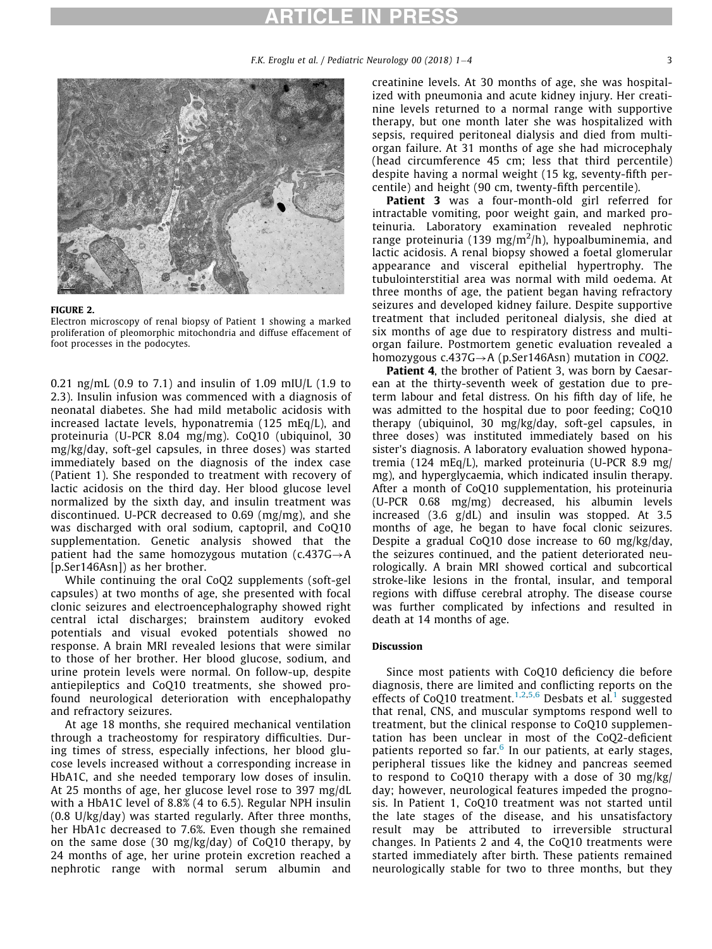## ARTICLE IN PRESS

<span id="page-2-0"></span>

#### FIGURE 2.

Electron microscopy of renal biopsy of Patient 1 showing a marked proliferation of pleomorphic mitochondria and diffuse effacement of foot processes in the podocytes.

0.21 ng/mL (0.9 to 7.1) and insulin of 1.09 mIU/L (1.9 to 2.3). Insulin infusion was commenced with a diagnosis of neonatal diabetes. She had mild metabolic acidosis with increased lactate levels, hyponatremia (125 mEq/L), and proteinuria (U-PCR 8.04 mg/mg). CoQ10 (ubiquinol, 30 mg/kg/day, soft-gel capsules, in three doses) was started immediately based on the diagnosis of the index case (Patient 1). She responded to treatment with recovery of lactic acidosis on the third day. Her blood glucose level normalized by the sixth day, and insulin treatment was discontinued. U-PCR decreased to 0.69 (mg/mg), and she was discharged with oral sodium, captopril, and CoQ10 supplementation. Genetic analysis showed that the patient had the same homozygous mutation  $(c.437G \rightarrow A$ [p.Ser146Asn]) as her brother.

While continuing the oral CoQ2 supplements (soft-gel capsules) at two months of age, she presented with focal clonic seizures and electroencephalography showed right central ictal discharges; brainstem auditory evoked potentials and visual evoked potentials showed no response. A brain MRI revealed lesions that were similar to those of her brother. Her blood glucose, sodium, and urine protein levels were normal. On follow-up, despite antiepileptics and CoQ10 treatments, she showed profound neurological deterioration with encephalopathy and refractory seizures.

At age 18 months, she required mechanical ventilation through a tracheostomy for respiratory difficulties. During times of stress, especially infections, her blood glucose levels increased without a corresponding increase in HbA1C, and she needed temporary low doses of insulin. At 25 months of age, her glucose level rose to 397 mg/dL with a HbA1C level of 8.8% (4 to 6.5). Regular NPH insulin (0.8 U/kg/day) was started regularly. After three months, her HbA1c decreased to 7.6%. Even though she remained on the same dose (30 mg/kg/day) of CoQ10 therapy, by 24 months of age, her urine protein excretion reached a nephrotic range with normal serum albumin and creatinine levels. At 30 months of age, she was hospitalized with pneumonia and acute kidney injury. Her creatinine levels returned to a normal range with supportive therapy, but one month later she was hospitalized with sepsis, required peritoneal dialysis and died from multiorgan failure. At 31 months of age she had microcephaly (head circumference 45 cm; less that third percentile) despite having a normal weight (15 kg, seventy-fifth percentile) and height (90 cm, twenty-fifth percentile).

Patient 3 was a four-month-old girl referred for intractable vomiting, poor weight gain, and marked proteinuria. Laboratory examination revealed nephrotic range proteinuria (139 mg/m<sup>2</sup>/h), hypoalbuminemia, and lactic acidosis. A renal biopsy showed a foetal glomerular appearance and visceral epithelial hypertrophy. The tubulointerstitial area was normal with mild oedema. At three months of age, the patient began having refractory seizures and developed kidney failure. Despite supportive treatment that included peritoneal dialysis, she died at six months of age due to respiratory distress and multiorgan failure. Postmortem genetic evaluation revealed a homozygous  $c.437G \rightarrow A$  (p.Ser146Asn) mutation in COQ2.

Patient 4, the brother of Patient 3, was born by Caesarean at the thirty-seventh week of gestation due to preterm labour and fetal distress. On his fifth day of life, he was admitted to the hospital due to poor feeding; CoQ10 therapy (ubiquinol, 30 mg/kg/day, soft-gel capsules, in three doses) was instituted immediately based on his sister's diagnosis. A laboratory evaluation showed hyponatremia (124 mEq/L), marked proteinuria (U-PCR 8.9 mg/ mg), and hyperglycaemia, which indicated insulin therapy. After a month of CoQ10 supplementation, his proteinuria (U-PCR 0.68 mg/mg) decreased, his albumin levels increased (3.6 g/dL) and insulin was stopped. At 3.5 months of age, he began to have focal clonic seizures. Despite a gradual CoQ10 dose increase to 60 mg/kg/day, the seizures continued, and the patient deteriorated neurologically. A brain MRI showed cortical and subcortical stroke-like lesions in the frontal, insular, and temporal regions with diffuse cerebral atrophy. The disease course was further complicated by infections and resulted in death at 14 months of age.

#### Discussion

Since most patients with CoQ10 deficiency die before diagnosis, there are limited and conflicting reports on the effects of CoQ10 treatment.<sup>[1,2](#page-3-0),[5,6](#page-3-2)</sup> Desbats et al.<sup>[1](#page-3-0)</sup> suggested that renal, CNS, and muscular symptoms respond well to treatment, but the clinical response to CoQ10 supplementation has been unclear in most of the CoQ2-deficient patients reported so far. $6$  In our patients, at early stages, peripheral tissues like the kidney and pancreas seemed to respond to CoQ10 therapy with a dose of 30 mg/kg/ day; however, neurological features impeded the prognosis. In Patient 1, CoQ10 treatment was not started until the late stages of the disease, and his unsatisfactory result may be attributed to irreversible structural changes. In Patients 2 and 4, the CoQ10 treatments were started immediately after birth. These patients remained neurologically stable for two to three months, but they